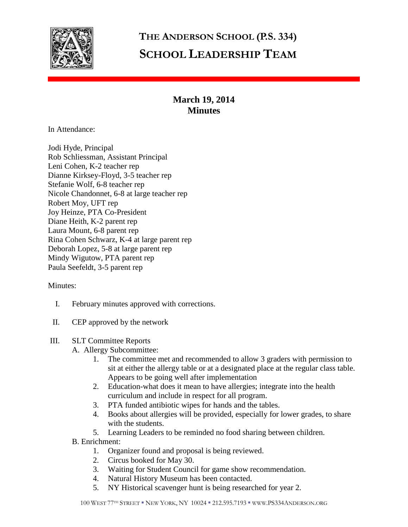

# **THE ANDERSON SCHOOL (P.S. 334) SCHOOL LEADERSHIP TEAM**

## **March 19, 2014 Minutes**

In Attendance:

Jodi Hyde, Principal Rob Schliessman, Assistant Principal Leni Cohen, K-2 teacher rep Dianne Kirksey-Floyd, 3-5 teacher rep Stefanie Wolf, 6-8 teacher rep Nicole Chandonnet, 6-8 at large teacher rep Robert Moy, UFT rep Joy Heinze, PTA Co-President Diane Heith, K-2 parent rep Laura Mount, 6-8 parent rep Rina Cohen Schwarz, K-4 at large parent rep Deborah Lopez, 5-8 at large parent rep Mindy Wigutow, PTA parent rep Paula Seefeldt, 3-5 parent rep

### Minutes:

- I. February minutes approved with corrections.
- II. CEP approved by the network

### III. SLT Committee Reports

- A. Allergy Subcommittee:
	- 1. The committee met and recommended to allow 3 graders with permission to sit at either the allergy table or at a designated place at the regular class table. Appears to be going well after implementation
	- 2. Education-what does it mean to have allergies; integrate into the health curriculum and include in respect for all program.
	- 3. PTA funded antibiotic wipes for hands and the tables.
	- 4. Books about allergies will be provided, especially for lower grades, to share with the students.
	- 5. Learning Leaders to be reminded no food sharing between children.
- B. Enrichment:
	- 1. Organizer found and proposal is being reviewed.
	- 2. Circus booked for May 30.
	- 3. Waiting for Student Council for game show recommendation.
	- 4. Natural History Museum has been contacted.
	- 5. NY Historical scavenger hunt is being researched for year 2.